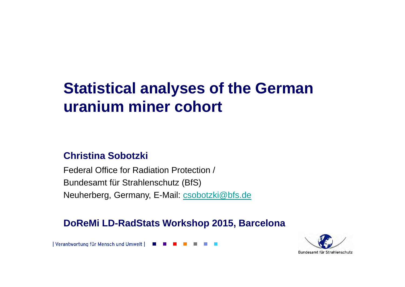# **Statistical analyses of the German uranium miner cohort**

#### **Christina Sobotzki**

Federal Office for Radiation Protection /Bundesamt für Strahlenschutz (BfS)Neuherberg, Germany, E-Mail: csobotzki@bfs.de

**DoReMi LD-RadStats Workshop 2015, Barcelona**

| Verantwortung für Mensch und Umwelt |

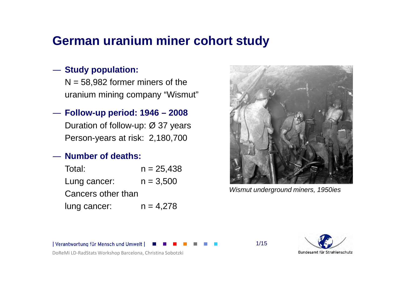### **German uranium miner cohort study**

# ― **Study population:**

 $N = 58,982$  former miners of the uranium mining company "Wismut"

# ― **Follow-up period: 1946 – <sup>2008</sup>**

Duration of follow-up: Ø 37 yearsPerson-years at risk: 2,180,700

#### ―**Number of deaths:**

| Total:             | $n = 25,438$ |
|--------------------|--------------|
| Lung cancer:       | $n = 3,500$  |
| Cancers other than |              |
| lung cancer:       | $n = 4.278$  |



Wismut underground miners, 1950ies

1/15

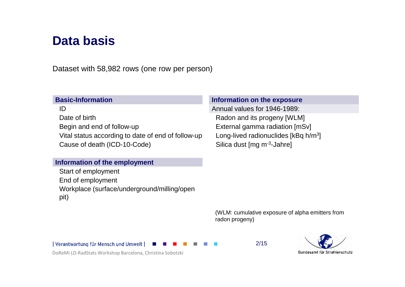### **Data basis**

Dataset with 58,982 rows (one row per person)

#### **Basic-Information**

IDDate of birthBegin and end of follow-upVital status according to date of end of follow-up Cause of death (ICD-10-Code)

#### **Information of the employment**

Start of employment End of employment Workplace (surface/underground/milling/open pit)

#### **Information on the exposure**

 Annual values for 1946-1989: Radon and its progeny [WLM] External gamma radiation [mSv]<br>Long-lived radionuclides [kBq h/m<sup>3</sup>] Silica dust [mg m-3-Jahre]

(WLM: cumulative exposure of alpha emitters from radon progeny)

| Verantwortung für Mensch und Umwelt

2/15

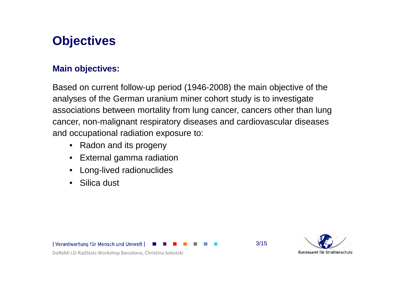## **Objectives**

#### **Main objectives:**

Based on current follow-up period (1946-2008) the main objective of the analyses of the German uranium miner cohort study is to investigate associations between mortality from lung cancer, cancers other than lung cancer, non-malignant respiratory diseases and cardiovascular diseases and occupational radiation exposure to:

- Radon and its progeny
- External gamma radiation
- •Long-lived radionuclides
- Silica dust

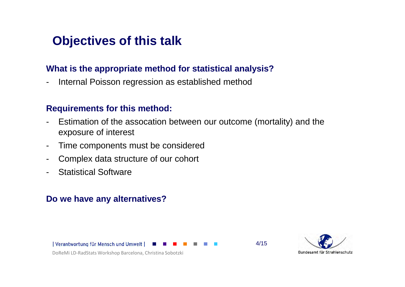### **Objectives of this talk**

#### **What is the appropriate method for statistical analysis?**

-Internal Poisson regression as established method

#### **Requirements for this method:**

- - Estimation of the assocation between our outcome (mortality) and theexposure of interest
- -Time components must be considered
- -Complex data structure of our cohort
- -Statistical Software

#### **Do we have any alternatives?**

| Verantwortung für Mensch und Umwelt



DoReMi LD-RadStats Workshop Barcelona, Christina Sobotzki

4/15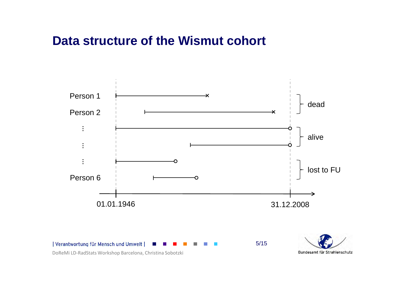### **Data structure of the Wismut cohort**



DoReMi LD-RadStats Workshop Barcelona, Christina Sobotzki

Bundesamt für Strahlenschutz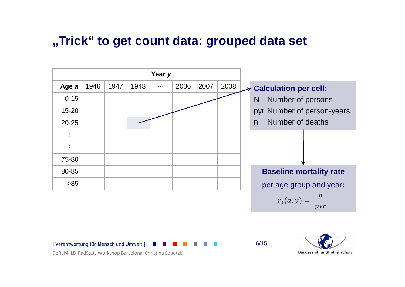### **"Trick" to get count data: grouped data set**



 $r_0(a, y) =$  $\mathcal{V} \mathcal{V} \mathcal{T}$ 

6/15

| Verantwortung für Mensch und Umwelt

Bundesamt für Strahlenschutz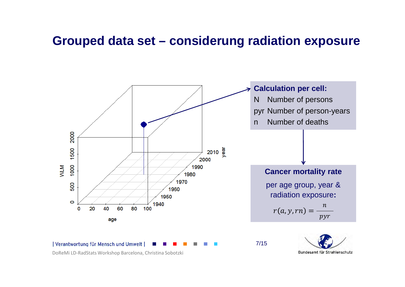#### **Grouped data set – considerung radiation exposure**

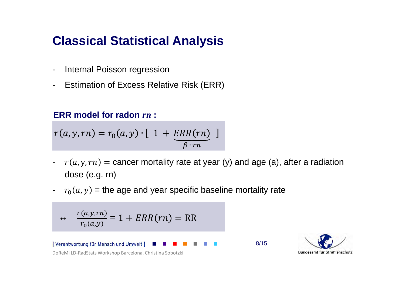### **Classical Statistical Analysis**

- -Internal Poisson regression
- -Estimation of Excess Relative Risk (ERR)

### **ERR model for radon** *rn* **:**

$$
r(a, y, rn) = r_0(a, y) \cdot [ 1 + \underbrace{ERR(rn)}_{\beta \cdot rn} ]
$$

- $r(a, y, rn)$  = cancer mortality rate at year (y) and age (a), after a radiation dose (e.g. rn)
- $\overline{\phantom{a}}$  $r_0(a, y)$  = the age and year specific baseline mortality rate

$$
\leftrightarrow \frac{r(a,y,rn)}{r_0(a,y)} = 1 + ERR(rn) = RR
$$

| Verantwortung für Mensch und Umwelt DoReMi LD-RadStats Workshop Barcelona, Christina Sobotzki 8/15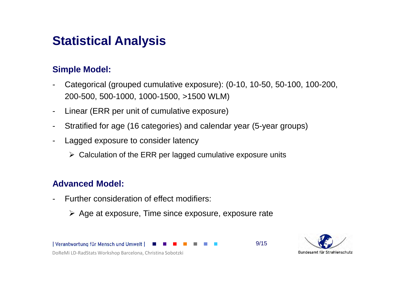### **Statistical Analysis**

#### **Simple Model:**

- - Categorical (grouped cumulative exposure): (0-10, 10-50, 50-100, 100-200, 200-500, 500-1000, 1000-1500, >1500 WLM)
- -Linear (ERR per unit of cumulative exposure)
- -Stratified for age (16 categories) and calendar year (5-year groups)
- - Lagged exposure to consider latency
	- Calculation of the ERR per lagged cumulative exposure units

#### **Advanced Model:**

- - Further consideration of effect modifiers:
	- Age at exposure, Time since exposure, exposure rate



9/15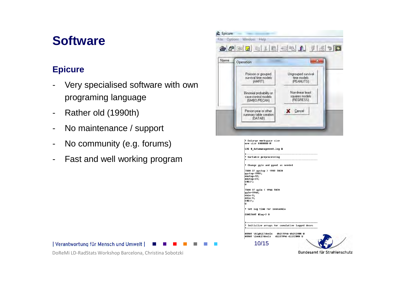### **Software**

#### **Epicure**

- - Very specialised software with ownprograming language
- -Rather old (1990th)
- -No maintenance / support
- No community (e.g. forums)
- -Fast and well working program



DoReMi LD-RadStats Workshop Barcelona, Christina Sobotzki

| Verantwortung für Mensch und Umwelt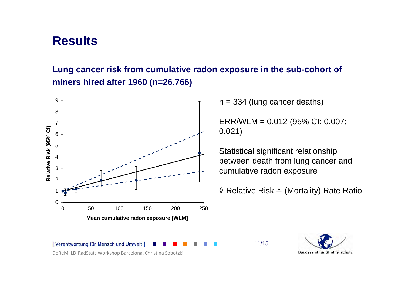### **Results**

#### **Lung cancer risk from cumulative radon exposure in the sub-cohort ofminers hired after 1960 (n=26.766)**



 $n = 334$  (lung cancer deaths)

11/15

ERR/WLM = 0.012 (95% CI: 0.007; 0.021)

Statistical significant relationship between death from lung cancer and cumulative radon exposure

↯ Relative Risk <sup>≙</sup> (Mortality) Rate Ratio

| Verantwortung für Mensch und Umwelt DoReMi LD-RadStats Workshop Barcelona, Christina Sobotzki

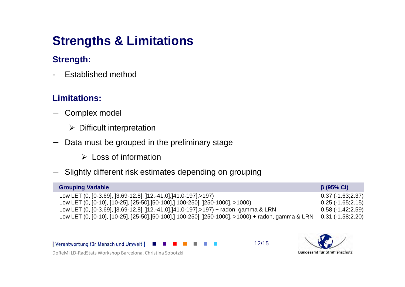## **Strengths & Limitations**

#### **Strength:**

-Established method

#### **Limitations:**

- − Complex model
	- > Difficult interpretation
- − Data must be grouped in the preliminary stage
	- Loss of information
- −Slightly different risk estimates depending on grouping

| <b>Grouping Variable</b>                                                                          | $\beta$ (95% CI)   |
|---------------------------------------------------------------------------------------------------|--------------------|
| Low LET (0, 10-3.691, 13.69-12.81, 112.-41.01, 141.0-1971, > 197)                                 | $0.37(-1.63;2.37)$ |
| Low LET (0, ]0-10], ]10-25], ]25-50],]50-100],] 100-250], ]250-1000], >1000)                      | $0.25(-1.65;2.15)$ |
| Low LET (0, ]0-3.69], ]3.69-12.8], ]12.-41.0],]41.0-197],>197) + radon, gamma & LRN               | $0.58(-1.42;2.59)$ |
| Low LET (0, ]0-10], ]10-25], ]25-50],]50-100],] 100-250], ]250-1000], >1000) + radon, gamma & LRN | $0.31(-1.58;2.20)$ |

| Verantwortung für Mensch und Umwelt

12/15

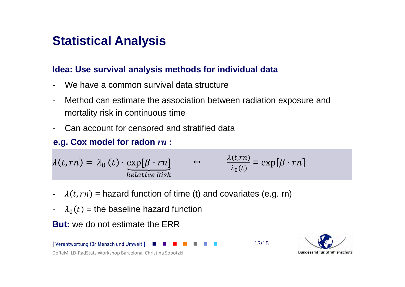### **Statistical Analysis**

#### **Idea: Use survival analysis methods for individual data**

- We have a common survival data structure
- Method can estimate the association between radiation exposure and mortality risk in continuous time
- Can account for censored and stratified data

### **e.g. Cox model for radon** *rn* **:**

$$
\lambda(t, rn) = \lambda_0(t) \cdot \underbrace{\exp[\beta \cdot rn]}_{Relative\ Risk} \qquad \leftrightarrow \qquad \frac{\lambda(t, rn)}{\lambda_0(t)} = \exp[\beta \cdot rn]
$$

- - $\lambda(t, rn)$  = hazard function of time (t) and covariates (e.g. rn)
- $\lambda_0(t)$  = the baseline hazard function

**But:** we do not estimate the ERR



Bundesamt für Strahlenschutz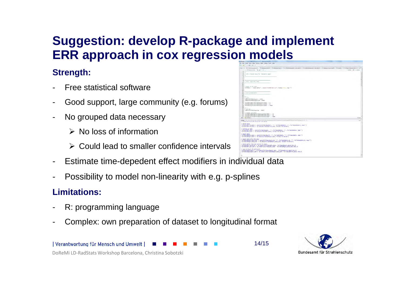### **Suggestion: develop R-package and implementERR approach in cox regression models**

#### **Strength:**

- -Free statistical software
- -Good support, large community (e.g. forums)
- - No grouped data necessary
	- $\triangleright$  No loss of information
	- Could lead to smaller confidence intervals
- Estimate time-depedent effect modifiers in individual data
- -Possibility to model non-linearity with e.g. p-splines

#### **Limitations:**

- -R: programming language
- -Complex: own preparation of dataset to longitudinal format





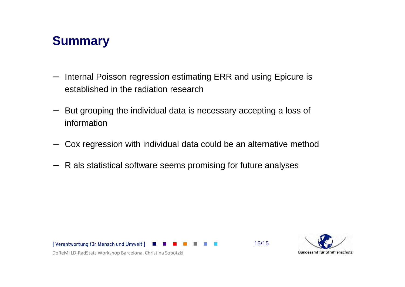### **Summary**

- − Internal Poisson regression estimating ERR and using Epicure is established in the radiation research
- − But grouping the individual data is necessary accepting a loss of information
- Cox regression with individual data could be an alternative method
- −R als statistical software seems promising for future analyses





15/15